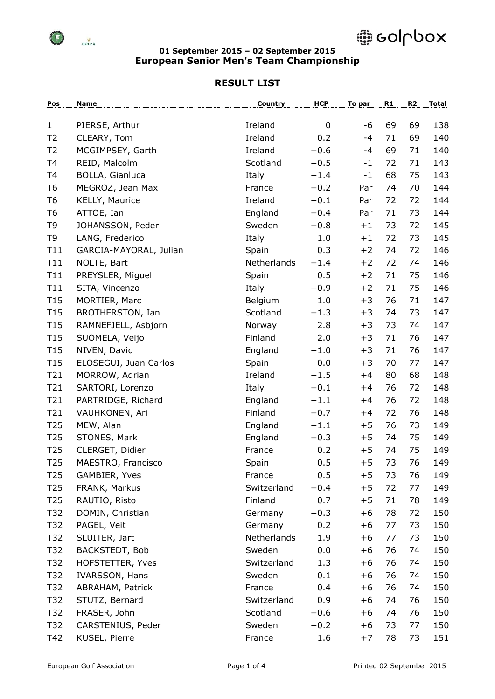

# @ colpbox

### **01 September 2015 – 02 September 2015 European Senior Men's Team Championship**

| 69<br>PIERSE, Arthur<br>Ireland<br>0<br>-6<br>69<br>138<br>$\mathbf{1}$<br>T <sub>2</sub><br>Ireland<br>0.2<br>$-4$<br>71<br>69<br>140<br>CLEARY, Tom<br>MCGIMPSEY, Garth<br>$+0.6$<br>69<br>T <sub>2</sub><br>Ireland<br>$-4$<br>71<br>140<br>Scotland<br>$+0.5$<br>72<br>143<br>T <sub>4</sub><br>REID, Malcolm<br>$-1$<br>71<br>BOLLA, Gianluca<br>143<br>T <sub>4</sub><br>Italy<br>$+1.4$<br>$-1$<br>68<br>75<br>T <sub>6</sub><br>$+0.2$<br>144<br>MEGROZ, Jean Max<br>France<br>70<br>Par<br>74<br>T <sub>6</sub><br>KELLY, Maurice<br>Ireland<br>$+0.1$<br>72<br>72<br>144<br>Par<br>T <sub>6</sub><br>ATTOE, Ian<br>England<br>$+0.4$<br>73<br>144<br>Par<br>71<br>JOHANSSON, Peder<br>72<br>145<br>T <sub>9</sub><br>Sweden<br>$+0.8$<br>73<br>$+1$<br>T <sub>9</sub><br>1.0<br>73<br>145<br>LANG, Frederico<br>Italy<br>$+1$<br>72<br>0.3<br>72<br>T11<br>GARCIA-MAYORAL, Julian<br>Spain<br>$+2$<br>74<br>146<br>T11<br>Netherlands<br>$+2$<br>146<br>NOLTE, Bart<br>$+1.4$<br>72<br>74<br>PREYSLER, Miguel<br>0.5<br>75<br>146<br>T11<br>Spain<br>$+2$<br>71<br>T11<br>$+0.9$<br>$+2$<br>71<br>75<br>146<br>SITA, Vincenzo<br>Italy<br>T15<br>MORTIER, Marc<br>Belgium<br>71<br>147<br>1.0<br>$+3$<br>76<br>147<br>T <sub>15</sub><br>BROTHERSTON, Ian<br>Scotland<br>$+3$<br>73<br>$+1.3$<br>74<br>T <sub>15</sub><br>RAMNEFJELL, Asbjorn<br>147<br>2.8<br>$+3$<br>73<br>74<br>Norway<br>T <sub>15</sub><br>Finland<br>2.0<br>$+3$<br>71<br>147<br>SUOMELA, Veijo<br>76<br>T <sub>15</sub><br>NIVEN, David<br>147<br>England<br>$+1.0$<br>$+3$<br>71<br>76<br>T15<br>ELOSEGUI, Juan Carlos<br>0.0<br>$+3$<br>70<br>77<br>147<br>Spain<br>MORROW, Adrian<br>68<br>148<br>T21<br>Ireland<br>$+1.5$<br>80<br>$+4$<br>T21<br>$+0.1$<br>72<br>148<br>SARTORI, Lorenzo<br>Italy<br>76<br>$+4$<br>T21<br>PARTRIDGE, Richard<br>England<br>$+1.1$<br>76<br>72<br>148<br>$+4$<br>T21<br>Finland<br>$+0.7$<br>76<br>148<br>VAUHKONEN, Ari<br>72<br>$+4$<br>T <sub>25</sub><br>MEW, Alan<br>England<br>73<br>$+1.1$<br>$+5$<br>76<br>149<br>T <sub>25</sub><br>$+0.3$<br>75<br>149<br>STONES, Mark<br>England<br>$+5$<br>74<br>CLERGET, Didier<br>75<br>149<br>T <sub>25</sub><br>France<br>0.2<br>$+5$<br>74<br>149<br>T <sub>25</sub><br>0.5<br>$+5$<br>73<br>76<br>MAESTRO, Francisco<br>Spain<br>T25<br>GAMBIER, Yves<br>France<br>0.5<br>$+5$<br>73<br>76<br>149<br>$+0.4$<br>T <sub>25</sub><br>FRANK, Markus<br>Switzerland<br>$+5$<br>72<br>77<br>149<br>T <sub>25</sub><br>RAUTIO, Risto<br>Finland<br>0.7<br>$+5$<br>71<br>78<br>149<br>72<br>T32<br>DOMIN, Christian<br>Germany<br>$+0.3$<br>$+6$<br>78<br>150<br>PAGEL, Veit<br>73<br>T32<br>Germany<br>0.2<br>$+6$<br>77<br>150<br>Netherlands<br>T32<br>SLUITER, Jart<br>1.9<br>$+6$<br>73<br>150<br>77<br>T32<br>BACKSTEDT, Bob<br>Sweden<br>0.0<br>74<br>150<br>$+6$<br>76<br>Switzerland<br>T32<br>HOFSTETTER, Yves<br>1.3<br>$+6$<br>76<br>74<br>150<br>Sweden<br>T32<br><b>IVARSSON, Hans</b><br>0.1<br>$+6$<br>76<br>74<br>150<br>T32<br>ABRAHAM, Patrick<br>France<br>0.4<br>150<br>$+6$<br>76<br>74<br>Switzerland<br>T32<br>STUTZ, Bernard<br>0.9<br>76<br>150<br>$+6$<br>74<br>Scotland<br>T32<br>FRASER, John<br>$+0.6$<br>76<br>150<br>$+6$<br>74<br>Sweden<br>T32<br>CARSTENIUS, Peder<br>$+0.2$<br>77<br>150<br>$+6$<br>73 | Pos | Name          | Country | <b>HCP</b> | To par | R1 | R2 | <b>Total</b> |
|-----------------------------------------------------------------------------------------------------------------------------------------------------------------------------------------------------------------------------------------------------------------------------------------------------------------------------------------------------------------------------------------------------------------------------------------------------------------------------------------------------------------------------------------------------------------------------------------------------------------------------------------------------------------------------------------------------------------------------------------------------------------------------------------------------------------------------------------------------------------------------------------------------------------------------------------------------------------------------------------------------------------------------------------------------------------------------------------------------------------------------------------------------------------------------------------------------------------------------------------------------------------------------------------------------------------------------------------------------------------------------------------------------------------------------------------------------------------------------------------------------------------------------------------------------------------------------------------------------------------------------------------------------------------------------------------------------------------------------------------------------------------------------------------------------------------------------------------------------------------------------------------------------------------------------------------------------------------------------------------------------------------------------------------------------------------------------------------------------------------------------------------------------------------------------------------------------------------------------------------------------------------------------------------------------------------------------------------------------------------------------------------------------------------------------------------------------------------------------------------------------------------------------------------------------------------------------------------------------------------------------------------------------------------------------------------------------------------------------------------------------------------------------------------------------------------------------------------------------------------------------------------------------------------------------------------------------------------------------------------------------------------------------------------------------------------------------------------------------------------------------------------------------------------------------------------------------------------------------------------------------------------------------------------------------------|-----|---------------|---------|------------|--------|----|----|--------------|
|                                                                                                                                                                                                                                                                                                                                                                                                                                                                                                                                                                                                                                                                                                                                                                                                                                                                                                                                                                                                                                                                                                                                                                                                                                                                                                                                                                                                                                                                                                                                                                                                                                                                                                                                                                                                                                                                                                                                                                                                                                                                                                                                                                                                                                                                                                                                                                                                                                                                                                                                                                                                                                                                                                                                                                                                                                                                                                                                                                                                                                                                                                                                                                                                                                                                                                           |     |               |         |            |        |    |    |              |
|                                                                                                                                                                                                                                                                                                                                                                                                                                                                                                                                                                                                                                                                                                                                                                                                                                                                                                                                                                                                                                                                                                                                                                                                                                                                                                                                                                                                                                                                                                                                                                                                                                                                                                                                                                                                                                                                                                                                                                                                                                                                                                                                                                                                                                                                                                                                                                                                                                                                                                                                                                                                                                                                                                                                                                                                                                                                                                                                                                                                                                                                                                                                                                                                                                                                                                           |     |               |         |            |        |    |    |              |
|                                                                                                                                                                                                                                                                                                                                                                                                                                                                                                                                                                                                                                                                                                                                                                                                                                                                                                                                                                                                                                                                                                                                                                                                                                                                                                                                                                                                                                                                                                                                                                                                                                                                                                                                                                                                                                                                                                                                                                                                                                                                                                                                                                                                                                                                                                                                                                                                                                                                                                                                                                                                                                                                                                                                                                                                                                                                                                                                                                                                                                                                                                                                                                                                                                                                                                           |     |               |         |            |        |    |    |              |
|                                                                                                                                                                                                                                                                                                                                                                                                                                                                                                                                                                                                                                                                                                                                                                                                                                                                                                                                                                                                                                                                                                                                                                                                                                                                                                                                                                                                                                                                                                                                                                                                                                                                                                                                                                                                                                                                                                                                                                                                                                                                                                                                                                                                                                                                                                                                                                                                                                                                                                                                                                                                                                                                                                                                                                                                                                                                                                                                                                                                                                                                                                                                                                                                                                                                                                           |     |               |         |            |        |    |    |              |
|                                                                                                                                                                                                                                                                                                                                                                                                                                                                                                                                                                                                                                                                                                                                                                                                                                                                                                                                                                                                                                                                                                                                                                                                                                                                                                                                                                                                                                                                                                                                                                                                                                                                                                                                                                                                                                                                                                                                                                                                                                                                                                                                                                                                                                                                                                                                                                                                                                                                                                                                                                                                                                                                                                                                                                                                                                                                                                                                                                                                                                                                                                                                                                                                                                                                                                           |     |               |         |            |        |    |    |              |
|                                                                                                                                                                                                                                                                                                                                                                                                                                                                                                                                                                                                                                                                                                                                                                                                                                                                                                                                                                                                                                                                                                                                                                                                                                                                                                                                                                                                                                                                                                                                                                                                                                                                                                                                                                                                                                                                                                                                                                                                                                                                                                                                                                                                                                                                                                                                                                                                                                                                                                                                                                                                                                                                                                                                                                                                                                                                                                                                                                                                                                                                                                                                                                                                                                                                                                           |     |               |         |            |        |    |    |              |
|                                                                                                                                                                                                                                                                                                                                                                                                                                                                                                                                                                                                                                                                                                                                                                                                                                                                                                                                                                                                                                                                                                                                                                                                                                                                                                                                                                                                                                                                                                                                                                                                                                                                                                                                                                                                                                                                                                                                                                                                                                                                                                                                                                                                                                                                                                                                                                                                                                                                                                                                                                                                                                                                                                                                                                                                                                                                                                                                                                                                                                                                                                                                                                                                                                                                                                           |     |               |         |            |        |    |    |              |
|                                                                                                                                                                                                                                                                                                                                                                                                                                                                                                                                                                                                                                                                                                                                                                                                                                                                                                                                                                                                                                                                                                                                                                                                                                                                                                                                                                                                                                                                                                                                                                                                                                                                                                                                                                                                                                                                                                                                                                                                                                                                                                                                                                                                                                                                                                                                                                                                                                                                                                                                                                                                                                                                                                                                                                                                                                                                                                                                                                                                                                                                                                                                                                                                                                                                                                           |     |               |         |            |        |    |    |              |
|                                                                                                                                                                                                                                                                                                                                                                                                                                                                                                                                                                                                                                                                                                                                                                                                                                                                                                                                                                                                                                                                                                                                                                                                                                                                                                                                                                                                                                                                                                                                                                                                                                                                                                                                                                                                                                                                                                                                                                                                                                                                                                                                                                                                                                                                                                                                                                                                                                                                                                                                                                                                                                                                                                                                                                                                                                                                                                                                                                                                                                                                                                                                                                                                                                                                                                           |     |               |         |            |        |    |    |              |
|                                                                                                                                                                                                                                                                                                                                                                                                                                                                                                                                                                                                                                                                                                                                                                                                                                                                                                                                                                                                                                                                                                                                                                                                                                                                                                                                                                                                                                                                                                                                                                                                                                                                                                                                                                                                                                                                                                                                                                                                                                                                                                                                                                                                                                                                                                                                                                                                                                                                                                                                                                                                                                                                                                                                                                                                                                                                                                                                                                                                                                                                                                                                                                                                                                                                                                           |     |               |         |            |        |    |    |              |
|                                                                                                                                                                                                                                                                                                                                                                                                                                                                                                                                                                                                                                                                                                                                                                                                                                                                                                                                                                                                                                                                                                                                                                                                                                                                                                                                                                                                                                                                                                                                                                                                                                                                                                                                                                                                                                                                                                                                                                                                                                                                                                                                                                                                                                                                                                                                                                                                                                                                                                                                                                                                                                                                                                                                                                                                                                                                                                                                                                                                                                                                                                                                                                                                                                                                                                           |     |               |         |            |        |    |    |              |
|                                                                                                                                                                                                                                                                                                                                                                                                                                                                                                                                                                                                                                                                                                                                                                                                                                                                                                                                                                                                                                                                                                                                                                                                                                                                                                                                                                                                                                                                                                                                                                                                                                                                                                                                                                                                                                                                                                                                                                                                                                                                                                                                                                                                                                                                                                                                                                                                                                                                                                                                                                                                                                                                                                                                                                                                                                                                                                                                                                                                                                                                                                                                                                                                                                                                                                           |     |               |         |            |        |    |    |              |
|                                                                                                                                                                                                                                                                                                                                                                                                                                                                                                                                                                                                                                                                                                                                                                                                                                                                                                                                                                                                                                                                                                                                                                                                                                                                                                                                                                                                                                                                                                                                                                                                                                                                                                                                                                                                                                                                                                                                                                                                                                                                                                                                                                                                                                                                                                                                                                                                                                                                                                                                                                                                                                                                                                                                                                                                                                                                                                                                                                                                                                                                                                                                                                                                                                                                                                           |     |               |         |            |        |    |    |              |
|                                                                                                                                                                                                                                                                                                                                                                                                                                                                                                                                                                                                                                                                                                                                                                                                                                                                                                                                                                                                                                                                                                                                                                                                                                                                                                                                                                                                                                                                                                                                                                                                                                                                                                                                                                                                                                                                                                                                                                                                                                                                                                                                                                                                                                                                                                                                                                                                                                                                                                                                                                                                                                                                                                                                                                                                                                                                                                                                                                                                                                                                                                                                                                                                                                                                                                           |     |               |         |            |        |    |    |              |
|                                                                                                                                                                                                                                                                                                                                                                                                                                                                                                                                                                                                                                                                                                                                                                                                                                                                                                                                                                                                                                                                                                                                                                                                                                                                                                                                                                                                                                                                                                                                                                                                                                                                                                                                                                                                                                                                                                                                                                                                                                                                                                                                                                                                                                                                                                                                                                                                                                                                                                                                                                                                                                                                                                                                                                                                                                                                                                                                                                                                                                                                                                                                                                                                                                                                                                           |     |               |         |            |        |    |    |              |
|                                                                                                                                                                                                                                                                                                                                                                                                                                                                                                                                                                                                                                                                                                                                                                                                                                                                                                                                                                                                                                                                                                                                                                                                                                                                                                                                                                                                                                                                                                                                                                                                                                                                                                                                                                                                                                                                                                                                                                                                                                                                                                                                                                                                                                                                                                                                                                                                                                                                                                                                                                                                                                                                                                                                                                                                                                                                                                                                                                                                                                                                                                                                                                                                                                                                                                           |     |               |         |            |        |    |    |              |
|                                                                                                                                                                                                                                                                                                                                                                                                                                                                                                                                                                                                                                                                                                                                                                                                                                                                                                                                                                                                                                                                                                                                                                                                                                                                                                                                                                                                                                                                                                                                                                                                                                                                                                                                                                                                                                                                                                                                                                                                                                                                                                                                                                                                                                                                                                                                                                                                                                                                                                                                                                                                                                                                                                                                                                                                                                                                                                                                                                                                                                                                                                                                                                                                                                                                                                           |     |               |         |            |        |    |    |              |
|                                                                                                                                                                                                                                                                                                                                                                                                                                                                                                                                                                                                                                                                                                                                                                                                                                                                                                                                                                                                                                                                                                                                                                                                                                                                                                                                                                                                                                                                                                                                                                                                                                                                                                                                                                                                                                                                                                                                                                                                                                                                                                                                                                                                                                                                                                                                                                                                                                                                                                                                                                                                                                                                                                                                                                                                                                                                                                                                                                                                                                                                                                                                                                                                                                                                                                           |     |               |         |            |        |    |    |              |
|                                                                                                                                                                                                                                                                                                                                                                                                                                                                                                                                                                                                                                                                                                                                                                                                                                                                                                                                                                                                                                                                                                                                                                                                                                                                                                                                                                                                                                                                                                                                                                                                                                                                                                                                                                                                                                                                                                                                                                                                                                                                                                                                                                                                                                                                                                                                                                                                                                                                                                                                                                                                                                                                                                                                                                                                                                                                                                                                                                                                                                                                                                                                                                                                                                                                                                           |     |               |         |            |        |    |    |              |
|                                                                                                                                                                                                                                                                                                                                                                                                                                                                                                                                                                                                                                                                                                                                                                                                                                                                                                                                                                                                                                                                                                                                                                                                                                                                                                                                                                                                                                                                                                                                                                                                                                                                                                                                                                                                                                                                                                                                                                                                                                                                                                                                                                                                                                                                                                                                                                                                                                                                                                                                                                                                                                                                                                                                                                                                                                                                                                                                                                                                                                                                                                                                                                                                                                                                                                           |     |               |         |            |        |    |    |              |
|                                                                                                                                                                                                                                                                                                                                                                                                                                                                                                                                                                                                                                                                                                                                                                                                                                                                                                                                                                                                                                                                                                                                                                                                                                                                                                                                                                                                                                                                                                                                                                                                                                                                                                                                                                                                                                                                                                                                                                                                                                                                                                                                                                                                                                                                                                                                                                                                                                                                                                                                                                                                                                                                                                                                                                                                                                                                                                                                                                                                                                                                                                                                                                                                                                                                                                           |     |               |         |            |        |    |    |              |
|                                                                                                                                                                                                                                                                                                                                                                                                                                                                                                                                                                                                                                                                                                                                                                                                                                                                                                                                                                                                                                                                                                                                                                                                                                                                                                                                                                                                                                                                                                                                                                                                                                                                                                                                                                                                                                                                                                                                                                                                                                                                                                                                                                                                                                                                                                                                                                                                                                                                                                                                                                                                                                                                                                                                                                                                                                                                                                                                                                                                                                                                                                                                                                                                                                                                                                           |     |               |         |            |        |    |    |              |
|                                                                                                                                                                                                                                                                                                                                                                                                                                                                                                                                                                                                                                                                                                                                                                                                                                                                                                                                                                                                                                                                                                                                                                                                                                                                                                                                                                                                                                                                                                                                                                                                                                                                                                                                                                                                                                                                                                                                                                                                                                                                                                                                                                                                                                                                                                                                                                                                                                                                                                                                                                                                                                                                                                                                                                                                                                                                                                                                                                                                                                                                                                                                                                                                                                                                                                           |     |               |         |            |        |    |    |              |
|                                                                                                                                                                                                                                                                                                                                                                                                                                                                                                                                                                                                                                                                                                                                                                                                                                                                                                                                                                                                                                                                                                                                                                                                                                                                                                                                                                                                                                                                                                                                                                                                                                                                                                                                                                                                                                                                                                                                                                                                                                                                                                                                                                                                                                                                                                                                                                                                                                                                                                                                                                                                                                                                                                                                                                                                                                                                                                                                                                                                                                                                                                                                                                                                                                                                                                           |     |               |         |            |        |    |    |              |
|                                                                                                                                                                                                                                                                                                                                                                                                                                                                                                                                                                                                                                                                                                                                                                                                                                                                                                                                                                                                                                                                                                                                                                                                                                                                                                                                                                                                                                                                                                                                                                                                                                                                                                                                                                                                                                                                                                                                                                                                                                                                                                                                                                                                                                                                                                                                                                                                                                                                                                                                                                                                                                                                                                                                                                                                                                                                                                                                                                                                                                                                                                                                                                                                                                                                                                           |     |               |         |            |        |    |    |              |
|                                                                                                                                                                                                                                                                                                                                                                                                                                                                                                                                                                                                                                                                                                                                                                                                                                                                                                                                                                                                                                                                                                                                                                                                                                                                                                                                                                                                                                                                                                                                                                                                                                                                                                                                                                                                                                                                                                                                                                                                                                                                                                                                                                                                                                                                                                                                                                                                                                                                                                                                                                                                                                                                                                                                                                                                                                                                                                                                                                                                                                                                                                                                                                                                                                                                                                           |     |               |         |            |        |    |    |              |
|                                                                                                                                                                                                                                                                                                                                                                                                                                                                                                                                                                                                                                                                                                                                                                                                                                                                                                                                                                                                                                                                                                                                                                                                                                                                                                                                                                                                                                                                                                                                                                                                                                                                                                                                                                                                                                                                                                                                                                                                                                                                                                                                                                                                                                                                                                                                                                                                                                                                                                                                                                                                                                                                                                                                                                                                                                                                                                                                                                                                                                                                                                                                                                                                                                                                                                           |     |               |         |            |        |    |    |              |
|                                                                                                                                                                                                                                                                                                                                                                                                                                                                                                                                                                                                                                                                                                                                                                                                                                                                                                                                                                                                                                                                                                                                                                                                                                                                                                                                                                                                                                                                                                                                                                                                                                                                                                                                                                                                                                                                                                                                                                                                                                                                                                                                                                                                                                                                                                                                                                                                                                                                                                                                                                                                                                                                                                                                                                                                                                                                                                                                                                                                                                                                                                                                                                                                                                                                                                           |     |               |         |            |        |    |    |              |
|                                                                                                                                                                                                                                                                                                                                                                                                                                                                                                                                                                                                                                                                                                                                                                                                                                                                                                                                                                                                                                                                                                                                                                                                                                                                                                                                                                                                                                                                                                                                                                                                                                                                                                                                                                                                                                                                                                                                                                                                                                                                                                                                                                                                                                                                                                                                                                                                                                                                                                                                                                                                                                                                                                                                                                                                                                                                                                                                                                                                                                                                                                                                                                                                                                                                                                           |     |               |         |            |        |    |    |              |
|                                                                                                                                                                                                                                                                                                                                                                                                                                                                                                                                                                                                                                                                                                                                                                                                                                                                                                                                                                                                                                                                                                                                                                                                                                                                                                                                                                                                                                                                                                                                                                                                                                                                                                                                                                                                                                                                                                                                                                                                                                                                                                                                                                                                                                                                                                                                                                                                                                                                                                                                                                                                                                                                                                                                                                                                                                                                                                                                                                                                                                                                                                                                                                                                                                                                                                           |     |               |         |            |        |    |    |              |
|                                                                                                                                                                                                                                                                                                                                                                                                                                                                                                                                                                                                                                                                                                                                                                                                                                                                                                                                                                                                                                                                                                                                                                                                                                                                                                                                                                                                                                                                                                                                                                                                                                                                                                                                                                                                                                                                                                                                                                                                                                                                                                                                                                                                                                                                                                                                                                                                                                                                                                                                                                                                                                                                                                                                                                                                                                                                                                                                                                                                                                                                                                                                                                                                                                                                                                           |     |               |         |            |        |    |    |              |
|                                                                                                                                                                                                                                                                                                                                                                                                                                                                                                                                                                                                                                                                                                                                                                                                                                                                                                                                                                                                                                                                                                                                                                                                                                                                                                                                                                                                                                                                                                                                                                                                                                                                                                                                                                                                                                                                                                                                                                                                                                                                                                                                                                                                                                                                                                                                                                                                                                                                                                                                                                                                                                                                                                                                                                                                                                                                                                                                                                                                                                                                                                                                                                                                                                                                                                           |     |               |         |            |        |    |    |              |
|                                                                                                                                                                                                                                                                                                                                                                                                                                                                                                                                                                                                                                                                                                                                                                                                                                                                                                                                                                                                                                                                                                                                                                                                                                                                                                                                                                                                                                                                                                                                                                                                                                                                                                                                                                                                                                                                                                                                                                                                                                                                                                                                                                                                                                                                                                                                                                                                                                                                                                                                                                                                                                                                                                                                                                                                                                                                                                                                                                                                                                                                                                                                                                                                                                                                                                           |     |               |         |            |        |    |    |              |
|                                                                                                                                                                                                                                                                                                                                                                                                                                                                                                                                                                                                                                                                                                                                                                                                                                                                                                                                                                                                                                                                                                                                                                                                                                                                                                                                                                                                                                                                                                                                                                                                                                                                                                                                                                                                                                                                                                                                                                                                                                                                                                                                                                                                                                                                                                                                                                                                                                                                                                                                                                                                                                                                                                                                                                                                                                                                                                                                                                                                                                                                                                                                                                                                                                                                                                           |     |               |         |            |        |    |    |              |
|                                                                                                                                                                                                                                                                                                                                                                                                                                                                                                                                                                                                                                                                                                                                                                                                                                                                                                                                                                                                                                                                                                                                                                                                                                                                                                                                                                                                                                                                                                                                                                                                                                                                                                                                                                                                                                                                                                                                                                                                                                                                                                                                                                                                                                                                                                                                                                                                                                                                                                                                                                                                                                                                                                                                                                                                                                                                                                                                                                                                                                                                                                                                                                                                                                                                                                           |     |               |         |            |        |    |    |              |
|                                                                                                                                                                                                                                                                                                                                                                                                                                                                                                                                                                                                                                                                                                                                                                                                                                                                                                                                                                                                                                                                                                                                                                                                                                                                                                                                                                                                                                                                                                                                                                                                                                                                                                                                                                                                                                                                                                                                                                                                                                                                                                                                                                                                                                                                                                                                                                                                                                                                                                                                                                                                                                                                                                                                                                                                                                                                                                                                                                                                                                                                                                                                                                                                                                                                                                           |     |               |         |            |        |    |    |              |
|                                                                                                                                                                                                                                                                                                                                                                                                                                                                                                                                                                                                                                                                                                                                                                                                                                                                                                                                                                                                                                                                                                                                                                                                                                                                                                                                                                                                                                                                                                                                                                                                                                                                                                                                                                                                                                                                                                                                                                                                                                                                                                                                                                                                                                                                                                                                                                                                                                                                                                                                                                                                                                                                                                                                                                                                                                                                                                                                                                                                                                                                                                                                                                                                                                                                                                           |     |               |         |            |        |    |    |              |
|                                                                                                                                                                                                                                                                                                                                                                                                                                                                                                                                                                                                                                                                                                                                                                                                                                                                                                                                                                                                                                                                                                                                                                                                                                                                                                                                                                                                                                                                                                                                                                                                                                                                                                                                                                                                                                                                                                                                                                                                                                                                                                                                                                                                                                                                                                                                                                                                                                                                                                                                                                                                                                                                                                                                                                                                                                                                                                                                                                                                                                                                                                                                                                                                                                                                                                           |     |               |         |            |        |    |    |              |
|                                                                                                                                                                                                                                                                                                                                                                                                                                                                                                                                                                                                                                                                                                                                                                                                                                                                                                                                                                                                                                                                                                                                                                                                                                                                                                                                                                                                                                                                                                                                                                                                                                                                                                                                                                                                                                                                                                                                                                                                                                                                                                                                                                                                                                                                                                                                                                                                                                                                                                                                                                                                                                                                                                                                                                                                                                                                                                                                                                                                                                                                                                                                                                                                                                                                                                           |     |               |         |            |        |    |    |              |
|                                                                                                                                                                                                                                                                                                                                                                                                                                                                                                                                                                                                                                                                                                                                                                                                                                                                                                                                                                                                                                                                                                                                                                                                                                                                                                                                                                                                                                                                                                                                                                                                                                                                                                                                                                                                                                                                                                                                                                                                                                                                                                                                                                                                                                                                                                                                                                                                                                                                                                                                                                                                                                                                                                                                                                                                                                                                                                                                                                                                                                                                                                                                                                                                                                                                                                           |     |               |         |            |        |    |    |              |
|                                                                                                                                                                                                                                                                                                                                                                                                                                                                                                                                                                                                                                                                                                                                                                                                                                                                                                                                                                                                                                                                                                                                                                                                                                                                                                                                                                                                                                                                                                                                                                                                                                                                                                                                                                                                                                                                                                                                                                                                                                                                                                                                                                                                                                                                                                                                                                                                                                                                                                                                                                                                                                                                                                                                                                                                                                                                                                                                                                                                                                                                                                                                                                                                                                                                                                           |     |               |         |            |        |    |    |              |
|                                                                                                                                                                                                                                                                                                                                                                                                                                                                                                                                                                                                                                                                                                                                                                                                                                                                                                                                                                                                                                                                                                                                                                                                                                                                                                                                                                                                                                                                                                                                                                                                                                                                                                                                                                                                                                                                                                                                                                                                                                                                                                                                                                                                                                                                                                                                                                                                                                                                                                                                                                                                                                                                                                                                                                                                                                                                                                                                                                                                                                                                                                                                                                                                                                                                                                           |     |               |         |            |        |    |    |              |
|                                                                                                                                                                                                                                                                                                                                                                                                                                                                                                                                                                                                                                                                                                                                                                                                                                                                                                                                                                                                                                                                                                                                                                                                                                                                                                                                                                                                                                                                                                                                                                                                                                                                                                                                                                                                                                                                                                                                                                                                                                                                                                                                                                                                                                                                                                                                                                                                                                                                                                                                                                                                                                                                                                                                                                                                                                                                                                                                                                                                                                                                                                                                                                                                                                                                                                           | T42 | KUSEL, Pierre | France  | 1.6        | $+7$   | 78 | 73 | 151          |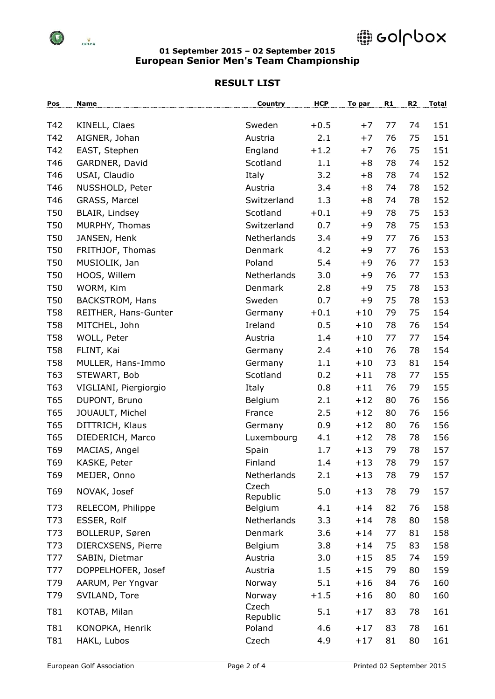

# @ colpbox

### **01 September 2015 – 02 September 2015 European Senior Men's Team Championship**

| Pos             | <b>Name</b>                      | Country           | <b>HCP</b> | To par       | R1 | R <sub>2</sub> | <b>Total</b> |
|-----------------|----------------------------------|-------------------|------------|--------------|----|----------------|--------------|
|                 |                                  | Sweden            | $+0.5$     |              | 77 | 74             |              |
| T42<br>T42      | KINELL, Claes                    | Austria           | 2.1        | $+7$<br>$+7$ | 76 | 75             | 151<br>151   |
| T42             | AIGNER, Johan<br>EAST, Stephen   | England           | $+1.2$     | $+7$         | 76 | 75             | 151          |
| T46             | GARDNER, David                   | Scotland          | 1.1        | $+8$         | 78 | 74             | 152          |
| T46             | USAI, Claudio                    | Italy             | 3.2        | $+8$         | 78 | 74             | 152          |
| T46             | NUSSHOLD, Peter                  | Austria           | 3.4        | $+8$         | 74 | 78             | 152          |
| T46             | GRASS, Marcel                    | Switzerland       | 1.3        | $+8$         | 74 | 78             | 152          |
| T50             | BLAIR, Lindsey                   | Scotland          | $+0.1$     | $+9$         | 78 | 75             | 153          |
| T <sub>50</sub> | MURPHY, Thomas                   | Switzerland       | 0.7        | $+9$         | 78 | 75             | 153          |
| <b>T50</b>      |                                  | Netherlands       | 3.4        | $+9$         | 77 | 76             | 153          |
| <b>T50</b>      | JANSEN, Henk<br>FRITHJOF, Thomas | Denmark           | 4.2        | $+9$         | 77 | 76             | 153          |
| T <sub>50</sub> | MUSIOLIK, Jan                    | Poland            | 5.4        | $+9$         | 76 | 77             | 153          |
|                 |                                  |                   |            |              |    |                |              |
| T <sub>50</sub> | HOOS, Willem                     | Netherlands       | 3.0        | $+9$         | 76 | 77             | 153          |
| T50             | WORM, Kim                        | Denmark           | 2.8        | $+9$         | 75 | 78             | 153          |
| T <sub>50</sub> | <b>BACKSTROM, Hans</b>           | Sweden            | 0.7        | $+9$         | 75 | 78             | 153          |
| <b>T58</b>      | REITHER, Hans-Gunter             | Germany           | $+0.1$     | $+10$        | 79 | 75             | 154          |
| <b>T58</b>      | MITCHEL, John                    | Ireland           | 0.5        | $+10$        | 78 | 76             | 154          |
| <b>T58</b>      | WOLL, Peter                      | Austria           | 1.4        | $+10$        | 77 | 77             | 154          |
| <b>T58</b>      | FLINT, Kai                       | Germany           | 2.4        | $+10$        | 76 | 78             | 154          |
| <b>T58</b>      | MULLER, Hans-Immo                | Germany           | 1.1        | $+10$        | 73 | 81             | 154          |
| T63             | STEWART, Bob                     | Scotland          | 0.2        | $+11$        | 78 | 77             | 155          |
| T63             | VIGLIANI, Piergiorgio            | Italy             | 0.8        | $+11$        | 76 | 79             | 155          |
| T65             | DUPONT, Bruno                    | Belgium           | 2.1        | $+12$        | 80 | 76             | 156          |
| T65             | JOUAULT, Michel                  | France            | 2.5        | $+12$        | 80 | 76             | 156          |
| T65             | DITTRICH, Klaus                  | Germany           | 0.9        | $+12$        | 80 | 76             | 156          |
| T65             | DIEDERICH, Marco                 | Luxembourg        | 4.1        | $+12$        | 78 | 78             | 156          |
| T69             | MACIAS, Angel                    | Spain             | 1.7        | $+13$        | 79 | 78             | 157          |
| T69             | KASKE, Peter                     | Finland           | 1.4        | $+13$        | 78 | 79             | 157          |
| T69             | MEIJER, Onno                     | Netherlands       | 2.1        | $+13$        | 78 | 79             | 157          |
| T69             | NOVAK, Josef                     | Czech<br>Republic | 5.0        | $+13$        | 78 | 79             | 157          |
| T73             | RELECOM, Philippe                | Belgium           | 4.1        | $+14$        | 82 | 76             | 158          |
| T73             | ESSER, Rolf                      | Netherlands       | 3.3        | $+14$        | 78 | 80             | 158          |
| T73             | BOLLERUP, Søren                  | Denmark           | 3.6        | $+14$        | 77 | 81             | 158          |
| T73             | DIERCXSENS, Pierre               | Belgium           | 3.8        | $+14$        | 75 | 83             | 158          |
| T77             | SABIN, Dietmar                   | Austria           | 3.0        | $+15$        | 85 | 74             | 159          |
| T77             | DOPPELHOFER, Josef               | Austria           | 1.5        | $+15$        | 79 | 80             | 159          |
| T79             | AARUM, Per Yngvar                | Norway            | 5.1        | $+16$        | 84 | 76             | 160          |
| T79             | SVILAND, Tore                    | Norway            | $+1.5$     | $+16$        | 80 | 80             | 160          |
| <b>T81</b>      | KOTAB, Milan                     | Czech<br>Republic | 5.1        | $+17$        | 83 | 78             | 161          |
| T81             | KONOPKA, Henrik                  | Poland            | 4.6        | $+17$        | 83 | 78             | 161          |
| T81             | HAKL, Lubos                      | Czech             | 4.9        | $+17$        | 81 | 80             | 161          |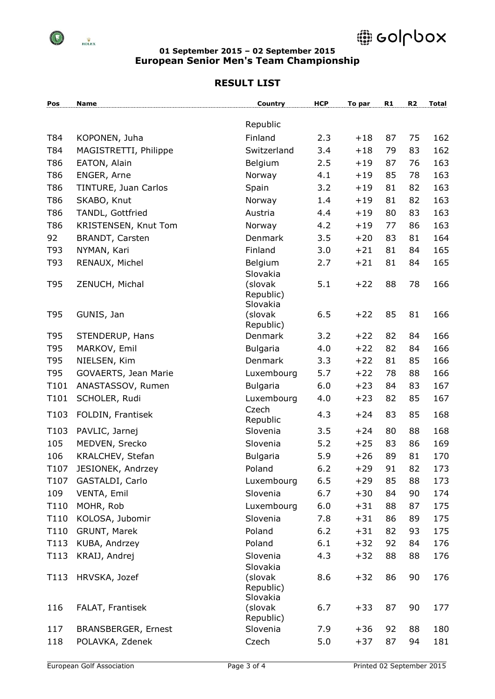

# @ colpbox

### **01 September 2015 – 02 September 2015 European Senior Men's Team Championship**

| Pos              | <b>Name</b>                | Country                          | <b>HCP</b> | To par | R1 | R <sub>2</sub> | <b>Total</b> |
|------------------|----------------------------|----------------------------------|------------|--------|----|----------------|--------------|
|                  |                            | Republic                         |            |        |    |                |              |
| T84              | KOPONEN, Juha              | Finland                          | 2.3        | $+18$  | 87 | 75             | 162          |
| T84              | MAGISTRETTI, Philippe      | Switzerland                      | 3.4        | $+18$  | 79 | 83             | 162          |
| T86              | EATON, Alain               | Belgium                          | 2.5        | $+19$  | 87 | 76             | 163          |
| T86              | ENGER, Arne                | Norway                           | 4.1        | $+19$  | 85 | 78             | 163          |
| T86              | TINTURE, Juan Carlos       | Spain                            | 3.2        | $+19$  | 81 | 82             | 163          |
| T86              | SKABO, Knut                | Norway                           | 1.4        | $+19$  | 81 | 82             | 163          |
| T86              | TANDL, Gottfried           | Austria                          | 4.4        | $+19$  | 80 | 83             | 163          |
| T86              | KRISTENSEN, Knut Tom       | Norway                           | 4.2        | $+19$  | 77 | 86             | 163          |
| 92               | BRANDT, Carsten            | Denmark                          | 3.5        | $+20$  | 83 | 81             | 164          |
| T93              | NYMAN, Kari                | Finland                          | 3.0        | $+21$  | 81 | 84             | 165          |
| T93              | RENAUX, Michel             | Belgium                          | 2.7        | $+21$  | 81 | 84             | 165          |
|                  |                            | Slovakia                         |            |        |    |                |              |
| T95              | ZENUCH, Michal             | (slovak<br>Republic)             | 5.1        | $+22$  | 88 | 78             | 166          |
| T95              | GUNIS, Jan                 | Slovakia<br>(slovak<br>Republic) | 6.5        | $+22$  | 85 | 81             | 166          |
| T95              | STENDERUP, Hans            | Denmark                          | 3.2        | $+22$  | 82 | 84             | 166          |
| T95              | MARKOV, Emil               | <b>Bulgaria</b>                  | 4.0        | $+22$  | 82 | 84             | 166          |
| T95              | NIELSEN, Kim               | Denmark                          | 3.3        | $+22$  | 81 | 85             | 166          |
| T95              | GOVAERTS, Jean Marie       | Luxembourg                       | 5.7        | $+22$  | 78 | 88             | 166          |
| T101             | ANASTASSOV, Rumen          | <b>Bulgaria</b>                  | 6.0        | $+23$  | 84 | 83             | 167          |
| T101             | SCHOLER, Rudi              | Luxembourg                       | 4.0        | $+23$  | 82 | 85             | 167          |
| T103             | FOLDIN, Frantisek          | Czech                            | 4.3        | $+24$  | 83 | 85             | 168          |
|                  |                            | Republic                         |            |        |    |                |              |
| T103             | PAVLIC, Jarnej             | Slovenia                         | 3.5        | $+24$  | 80 | 88             | 168          |
| 105              | MEDVEN, Srecko             | Slovenia                         | 5.2        | $+25$  | 83 | 86             | 169          |
| 106              | KRALCHEV, Stefan           | <b>Bulgaria</b>                  | 5.9        | $+26$  | 89 | 81             | 170          |
| T107             | JESIONEK, Andrzey          | Poland                           | 6.2        | $+29$  | 91 | 82             | 173          |
| T <sub>107</sub> | GASTALDI, Carlo            | Luxembourg                       | 6.5        | $+29$  | 85 | 88             | 173          |
| 109              | VENTA, Emil                | Slovenia                         | 6.7        | $+30$  | 84 | 90             | 174          |
| T110             | MOHR, Rob                  | Luxembourg                       | 6.0        | $+31$  | 88 | 87             | 175          |
| T110             | KOLOSA, Jubomir            | Slovenia                         | 7.8        | $+31$  | 86 | 89             | 175          |
| T110             | GRUNT, Marek               | Poland                           | 6.2        | $+31$  | 82 | 93             | 175          |
| T113             | KUBA, Andrzey              | Poland                           | 6.1        | $+32$  | 92 | 84             | 176          |
| T113             | KRAIJ, Andrej              | Slovenia                         | 4.3        | $+32$  | 88 | 88             | 176          |
| T113             | HRVSKA, Jozef              | Slovakia<br>(slovak<br>Republic) | 8.6        | $+32$  | 86 | 90             | 176          |
| 116              | FALAT, Frantisek           | Slovakia<br>(slovak<br>Republic) | 6.7        | $+33$  | 87 | 90             | 177          |
| 117              | <b>BRANSBERGER, Ernest</b> | Slovenia                         | 7.9        | $+36$  | 92 | 88             | 180          |
| 118              | POLAVKA, Zdenek            | Czech                            | 5.0        | $+37$  | 87 | 94             | 181          |